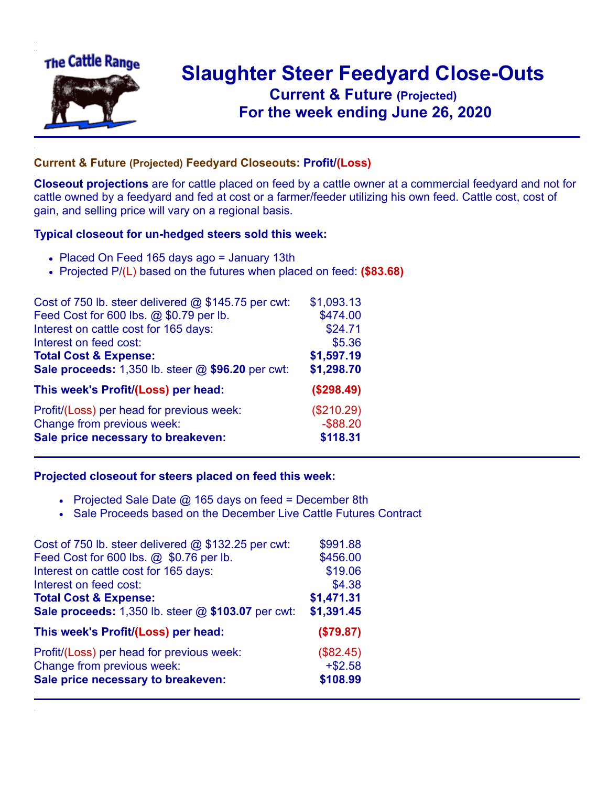

## **Slaughter Steer Feedyard Close-Outs Current & Future (Projected)** .**For the week ending June 26, 2020**

## **Current & Future (Projected) Feedyard Closeouts: Profit/(Loss)**

**Closeout projections** are for cattle placed on feed by a cattle owner at a commercial feedyard and not for cattle owned by a feedyard and fed at cost or a farmer/feeder utilizing his own feed. Cattle cost, cost of gain, and selling price will vary on a regional basis.

## **Typical closeout for un-hedged steers sold this week:**

- Placed On Feed 165 days ago = January 13th
- Projected P/(L) based on the futures when placed on feed: **(\$83.68)**

| Cost of 750 lb. steer delivered $@$ \$145.75 per cwt: | \$1,093.13  |
|-------------------------------------------------------|-------------|
| Feed Cost for 600 lbs. @ \$0.79 per lb.               | \$474.00    |
| Interest on cattle cost for 165 days:                 | \$24.71     |
| Interest on feed cost:                                | \$5.36      |
| <b>Total Cost &amp; Expense:</b>                      | \$1,597.19  |
| Sale proceeds: 1,350 lb. steer @ \$96.20 per cwt:     | \$1,298.70  |
| This week's Profit/(Loss) per head:                   | (\$298.49)  |
| Profit/(Loss) per head for previous week:             | (\$210.29)  |
| Change from previous week:                            | $-$ \$88.20 |
| Sale price necessary to breakeven:                    | \$118.31    |

## **Projected closeout for steers placed on feed this week:**

- Projected Sale Date  $@$  165 days on feed = December 8th
- Sale Proceeds based on the December Live Cattle Futures Contract

| Cost of 750 lb. steer delivered $@$ \$132.25 per cwt: | \$991.88   |
|-------------------------------------------------------|------------|
| Feed Cost for 600 lbs. @ \$0.76 per lb.               | \$456.00   |
| Interest on cattle cost for 165 days:                 | \$19.06    |
| Interest on feed cost:                                | \$4.38     |
| <b>Total Cost &amp; Expense:</b>                      | \$1,471.31 |
| Sale proceeds: 1,350 lb. steer @ \$103.07 per cwt:    | \$1,391.45 |
| This week's Profit/(Loss) per head:                   | (\$79.87)  |
| Profit/(Loss) per head for previous week:             | (\$82.45)  |
| Change from previous week:                            | $+ $2.58$  |
| Sale price necessary to breakeven:                    | \$108.99   |
|                                                       |            |